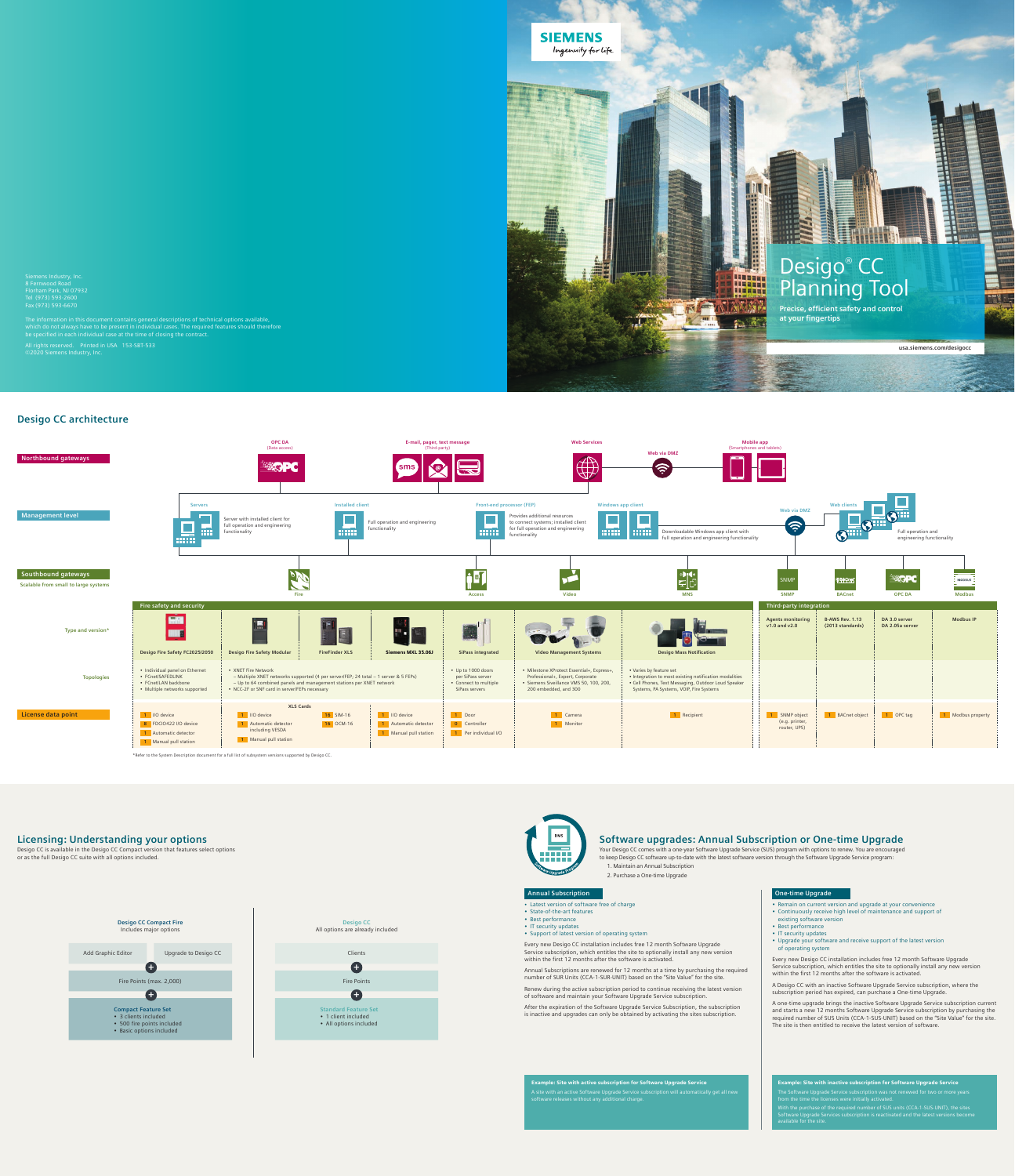\*Refer to the System Description document for a full list of subsystem versions supported by Desigo CC.



**Desigo CC architecture**

### **Licensing: Understanding your options**

Desigo CC is available in the Desigo CC Compact version that features select options or as the full Desigo CC suite with all options included.

### **Software upgrades: Annual Subscription or One-time Upgrade**

Your Desigo CC comes with a one-year Software Upgrade Service (SUS) program with options to renew. You are encouraged to keep Desigo CC software up-to-date with the latest software version through the Software Upgrade Service program:

1. Maintain an Annual Subscription 2. Purchase a One-time Upgrade

### **Desigo CC** All options are already included







# Desigo<sup>®</sup> CC Planning Tool

#### **Annual Subscription**

- Latest version of software free of charge
- State-of-the-art features
- Best performance
- IT security updates
- Support of latest version of operating system

Every new Desigo CC installation includes free 12 month Software Upgrade Service subscription, which entitles the site to optionally install any new version within the first 12 months after the software is activated.

Annual Subscriptions are renewed for 12 months at a time by purchasing the required number of SUR Units (CCA-1-SUR-UNIT) based on the "Site Value" for the site.

Renew during the active subscription period to continue receiving the latest version of software and maintain your Software Upgrade Service subscription.

After the expiration of the Software Upgrade Service Subscription, the subscription is inactive and upgrades can only be obtained by activating the sites subscription.

### **One-time Upgrade**

- Remain on current version and upgrade at your convenience
- Continuously receive high level of maintenance and support of
- existing software version
- Best performance
- IT security updates
- Upgrade your software and receive support of the latest version of operating system

Every new Desigo CC installation includes free 12 month Software Upgrade Service subscription, which entitles the site to optionally install any new version within the first 12 months after the software is activated.

A Desigo CC with an inactive Software Upgrade Service subscription, where the subscription period has expired, can purchase a One-time Upgrade.

A one-time upgrade brings the inactive Software Upgrade Service subscription current and starts a new 12 months Software Upgrade Service subscription by purchasing the required number of SUS Units (CCA-1-SUS-UNIT) based on the "Site Value" for the site. The site is then entitled to receive the latest version of software.

# Example: Site with active subscription for Software Upgrade Service

A site with an active Software Upgrade Service subscription will automatically get all new software releases without any additional charge.

#### Example: Site with inactive subscription for Software Upgrade Service

The Software Upgrade Service subscription was not renewed for two or more years from the time the licenses were initially activated.

With the purchase of the required number of SUS units (CCA-1-SUS-UNIT), the sites Software Upgrade Services subscription is reactivated and the latest versions become available for the site.

**Precise, efficient safety and control at your fingertips**

**usa.siemens.com/desigocc**

The information in this document contains general descriptions of technical options available, which do not always have to be present in individual cases. The required features should therefore be specified in each individual case at the time of closing the contract.

All rights reserved. Printed in USA 153-SBT-533 ©2020 Siemens Industry, Inc.





Siemens Industry, Inc. 8 Fernwood Road Florham Park, NJ 07932 Tel (973) 593-2600 Fax (973) 593-6670